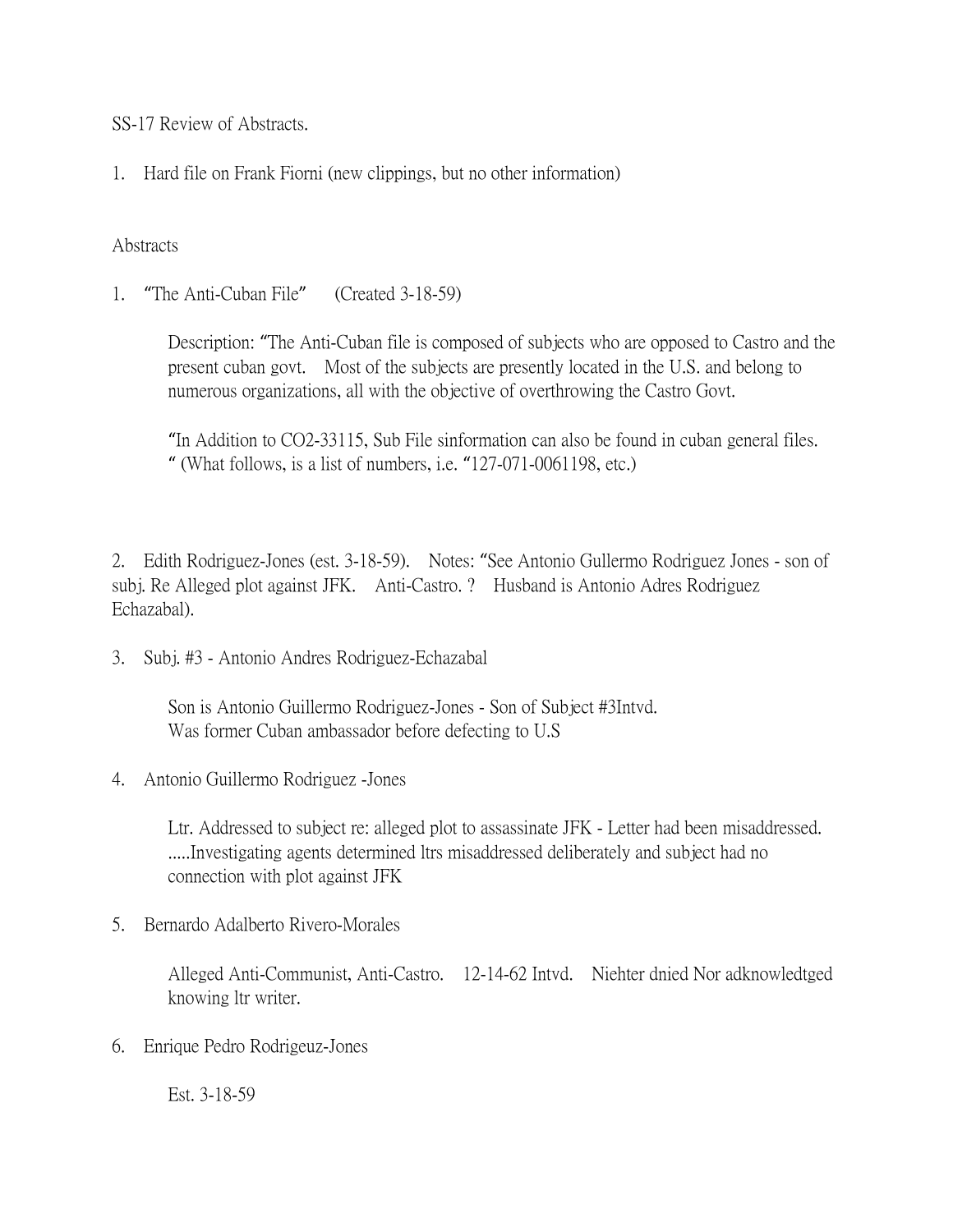SS-17 Review of Abstracts.

1. Hard file on Frank Fiorni (new clippings, but no other information)

## Abstracts

1. "The Anti-Cuban File" (Created 3-18-59)

Description: "The Anti-Cuban file is composed of subjects who are opposed to Castro and the present cuban govt. Most of the subjects are presently located in the U.S. and belong to numerous organizations, all with the objective of overthrowing the Castro Govt.

"In Addition to CO2-33115, Sub File sinformation can also be found in cuban general files. " (What follows, is a list of numbers, i.e. "127-071-0061198, etc.)

2. Edith Rodriguez-Jones (est. 3-18-59). Notes: "See Antonio Gullermo Rodriguez Jones - son of subj. Re Alleged plot against JFK. Anti-Castro. ? Husband is Antonio Adres Rodriguez Echazabal).

3. Subj. #3 - Antonio Andres Rodriguez-Echazabal

Son is Antonio Guillermo Rodriguez-Jones - Son of Subject #3Intvd. Was former Cuban ambassador before defecting to U.S

4. Antonio Guillermo Rodriguez -Jones

Ltr. Addressed to subject re: alleged plot to assassinate JFK - Letter had been misaddressed. .....Investigating agents determined ltrs misaddressed deliberately and subject had no connection with plot against JFK

5. Bernardo Adalberto Rivero-Morales

Alleged Anti-Communist, Anti-Castro. 12-14-62 Intvd. Niehter dnied Nor adknowledtged knowing ltr writer.

6. Enrique Pedro Rodrigeuz-Jones

Est. 3-18-59